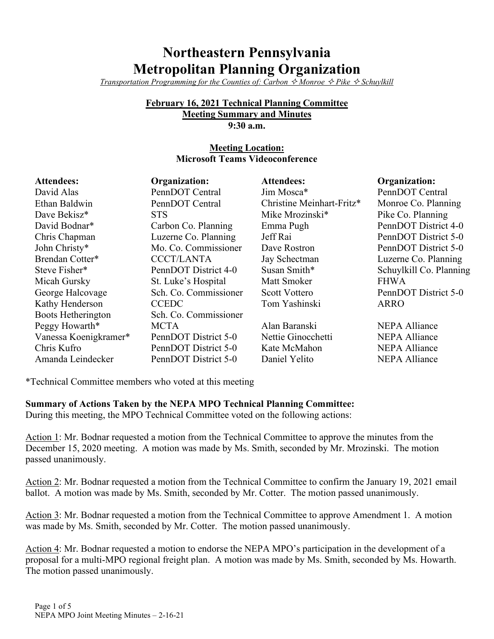# **Northeastern Pennsylvania Metropolitan Planning Organization**

*Transportation Programming for the Counties of: Carbon*  $\Diamond$  *Monroe*  $\Diamond$  *Pike*  $\Diamond$  *Schuylkill* 

#### **February 16, 2021 Technical Planning Committee Meeting Summary and Minutes 9:30 a.m.**

# **Meeting Location: Microsoft Teams Videoconference**

| <b>Attendees:</b>     | <b>Organization:</b>  | <b>Attendees:</b>         | Organization:           |
|-----------------------|-----------------------|---------------------------|-------------------------|
| David Alas            | PennDOT Central       | Jim Mosca*                | PennDOT Central         |
| Ethan Baldwin         | PennDOT Central       | Christine Meinhart-Fritz* | Monroe Co. Planning     |
| Dave Bekisz*          | <b>STS</b>            | Mike Mrozinski*           | Pike Co. Planning       |
| David Bodnar*         | Carbon Co. Planning   | Emma Pugh                 | PennDOT District 4-0    |
| Chris Chapman         | Luzerne Co. Planning  | Jeff Rai                  | PennDOT District 5-0    |
| John Christy*         | Mo. Co. Commissioner  | Dave Rostron              | PennDOT District 5-0    |
| Brendan Cotter*       | <b>CCCT/LANTA</b>     | Jay Schectman             | Luzerne Co. Planning    |
| Steve Fisher*         | PennDOT District 4-0  | Susan Smith*              | Schuylkill Co. Planning |
| Micah Gursky          | St. Luke's Hospital   | Matt Smoker               | <b>FHWA</b>             |
| George Halcovage      | Sch. Co. Commissioner | <b>Scott Vottero</b>      | PennDOT District 5-0    |
| Kathy Henderson       | <b>CCEDC</b>          | Tom Yashinski             | <b>ARRO</b>             |
| Boots Hetherington    | Sch. Co. Commissioner |                           |                         |
| Peggy Howarth*        | <b>MCTA</b>           | Alan Baranski             | <b>NEPA Alliance</b>    |
| Vanessa Koenigkramer* | PennDOT District 5-0  | Nettie Ginocchetti        | <b>NEPA Alliance</b>    |
| Chris Kufro           | PennDOT District 5-0  | Kate McMahon              | <b>NEPA Alliance</b>    |
| Amanda Leindecker     | PennDOT District 5-0  | Daniel Yelito             | <b>NEPA Alliance</b>    |

\*Technical Committee members who voted at this meeting

**Summary of Actions Taken by the NEPA MPO Technical Planning Committee:**

During this meeting, the MPO Technical Committee voted on the following actions:

Action 1: Mr. Bodnar requested a motion from the Technical Committee to approve the minutes from the December 15, 2020 meeting. A motion was made by Ms. Smith, seconded by Mr. Mrozinski. The motion passed unanimously.

Action 2: Mr. Bodnar requested a motion from the Technical Committee to confirm the January 19, 2021 email ballot. A motion was made by Ms. Smith, seconded by Mr. Cotter. The motion passed unanimously.

Action 3: Mr. Bodnar requested a motion from the Technical Committee to approve Amendment 1. A motion was made by Ms. Smith, seconded by Mr. Cotter. The motion passed unanimously.

Action 4: Mr. Bodnar requested a motion to endorse the NEPA MPO's participation in the development of a proposal for a multi-MPO regional freight plan. A motion was made by Ms. Smith, seconded by Ms. Howarth. The motion passed unanimously.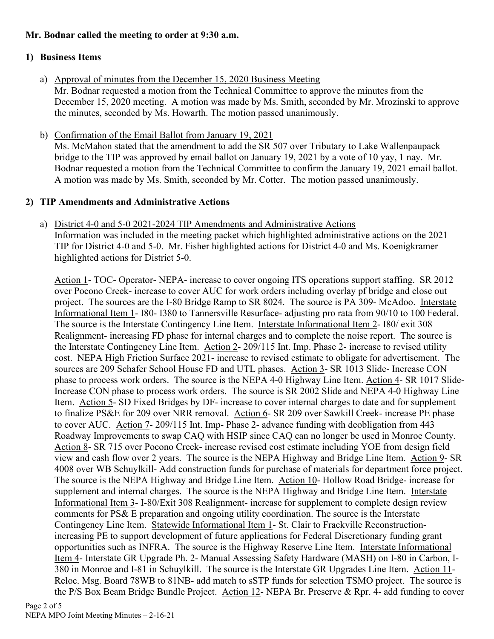# **Mr. Bodnar called the meeting to order at 9:30 a.m.**

# **1) Business Items**

a) Approval of minutes from the December 15, 2020 Business Meeting Mr. Bodnar requested a motion from the Technical Committee to approve the minutes from the December 15, 2020 meeting. A motion was made by Ms. Smith, seconded by Mr. Mrozinski to approve

the minutes, seconded by Ms. Howarth. The motion passed unanimously.

b) Confirmation of the Email Ballot from January 19, 2021 Ms. McMahon stated that the amendment to add the SR 507 over Tributary to Lake Wallenpaupack bridge to the TIP was approved by email ballot on January 19, 2021 by a vote of 10 yay, 1 nay. Mr. Bodnar requested a motion from the Technical Committee to confirm the January 19, 2021 email ballot. A motion was made by Ms. Smith, seconded by Mr. Cotter. The motion passed unanimously.

# **2) TIP Amendments and Administrative Actions**

a) District 4-0 and 5-0 2021-2024 TIP Amendments and Administrative Actions Information was included in the meeting packet which highlighted administrative actions on the 2021 TIP for District 4-0 and 5-0. Mr. Fisher highlighted actions for District 4-0 and Ms. Koenigkramer highlighted actions for District 5-0.

Action 1- TOC- Operator- NEPA- increase to cover ongoing ITS operations support staffing. SR 2012 over Pocono Creek- increase to cover AUC for work orders including overlay pf bridge and close out project. The sources are the I-80 Bridge Ramp to SR 8024. The source is PA 309- McAdoo. Interstate Informational Item 1- I80- I380 to Tannersville Resurface- adjusting pro rata from 90/10 to 100 Federal. The source is the Interstate Contingency Line Item. Interstate Informational Item 2- I80/ exit 308 Realignment- increasing FD phase for internal charges and to complete the noise report. The source is the Interstate Contingency Line Item. Action 2- 209/115 Int. Imp. Phase 2- increase to revised utility cost. NEPA High Friction Surface 2021- increase to revised estimate to obligate for advertisement. The sources are 209 Schafer School House FD and UTL phases. Action 3- SR 1013 Slide- Increase CON phase to process work orders. The source is the NEPA 4-0 Highway Line Item. Action 4- SR 1017 Slide-Increase CON phase to process work orders. The source is SR 2002 Slide and NEPA 4-0 Highway Line Item. Action 5- SD Fixed Bridges by DF- increase to cover internal charges to date and for supplement to finalize PS&E for 209 over NRR removal. Action 6- SR 209 over Sawkill Creek- increase PE phase to cover AUC. Action 7- 209/115 Int. Imp- Phase 2- advance funding with deobligation from 443 Roadway Improvements to swap CAQ with HSIP since CAQ can no longer be used in Monroe County. Action 8- SR 715 over Pocono Creek- increase revised cost estimate including YOE from design field view and cash flow over 2 years. The source is the NEPA Highway and Bridge Line Item. Action 9- SR 4008 over WB Schuylkill- Add construction funds for purchase of materials for department force project. The source is the NEPA Highway and Bridge Line Item. Action 10- Hollow Road Bridge- increase for supplement and internal charges. The source is the NEPA Highway and Bridge Line Item. Interstate Informational Item 3- I-80/Exit 308 Realignment- increase for supplement to complete design review comments for PS& E preparation and ongoing utility coordination. The source is the Interstate Contingency Line Item. Statewide Informational Item 1- St. Clair to Frackville Reconstructionincreasing PE to support development of future applications for Federal Discretionary funding grant opportunities such as INFRA. The source is the Highway Reserve Line Item. Interstate Informational Item 4- Interstate GR Upgrade Ph. 2- Manual Assessing Safety Hardware (MASH) on I-80 in Carbon, I-380 in Monroe and I-81 in Schuylkill. The source is the Interstate GR Upgrades Line Item. Action 11- Reloc. Msg. Board 78WB to 81NB- add match to sSTP funds for selection TSMO project. The source is the P/S Box Beam Bridge Bundle Project. Action 12- NEPA Br. Preserve & Rpr. 4- add funding to cover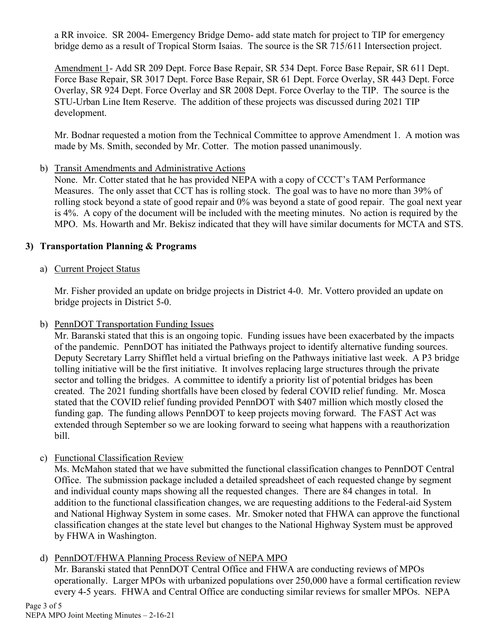a RR invoice. SR 2004- Emergency Bridge Demo- add state match for project to TIP for emergency bridge demo as a result of Tropical Storm Isaias. The source is the SR 715/611 Intersection project.

Amendment 1- Add SR 209 Dept. Force Base Repair, SR 534 Dept. Force Base Repair, SR 611 Dept. Force Base Repair, SR 3017 Dept. Force Base Repair, SR 61 Dept. Force Overlay, SR 443 Dept. Force Overlay, SR 924 Dept. Force Overlay and SR 2008 Dept. Force Overlay to the TIP. The source is the STU-Urban Line Item Reserve. The addition of these projects was discussed during 2021 TIP development.

Mr. Bodnar requested a motion from the Technical Committee to approve Amendment 1. A motion was made by Ms. Smith, seconded by Mr. Cotter. The motion passed unanimously.

b) Transit Amendments and Administrative Actions

None. Mr. Cotter stated that he has provided NEPA with a copy of CCCT's TAM Performance Measures. The only asset that CCT has is rolling stock. The goal was to have no more than 39% of rolling stock beyond a state of good repair and 0% was beyond a state of good repair. The goal next year is 4%. A copy of the document will be included with the meeting minutes. No action is required by the MPO. Ms. Howarth and Mr. Bekisz indicated that they will have similar documents for MCTA and STS.

# **3) Transportation Planning & Programs**

a) Current Project Status

Mr. Fisher provided an update on bridge projects in District 4-0. Mr. Vottero provided an update on bridge projects in District 5-0.

b) PennDOT Transportation Funding Issues

Mr. Baranski stated that this is an ongoing topic. Funding issues have been exacerbated by the impacts of the pandemic. PennDOT has initiated the Pathways project to identify alternative funding sources. Deputy Secretary Larry Shifflet held a virtual briefing on the Pathways initiative last week. A P3 bridge tolling initiative will be the first initiative. It involves replacing large structures through the private sector and tolling the bridges. A committee to identify a priority list of potential bridges has been created. The 2021 funding shortfalls have been closed by federal COVID relief funding. Mr. Mosca stated that the COVID relief funding provided PennDOT with \$407 million which mostly closed the funding gap. The funding allows PennDOT to keep projects moving forward. The FAST Act was extended through September so we are looking forward to seeing what happens with a reauthorization bill.

c) Functional Classification Review

Ms. McMahon stated that we have submitted the functional classification changes to PennDOT Central Office. The submission package included a detailed spreadsheet of each requested change by segment and individual county maps showing all the requested changes. There are 84 changes in total. In addition to the functional classification changes, we are requesting additions to the Federal-aid System and National Highway System in some cases. Mr. Smoker noted that FHWA can approve the functional classification changes at the state level but changes to the National Highway System must be approved by FHWA in Washington.

d) PennDOT/FHWA Planning Process Review of NEPA MPO

Mr. Baranski stated that PennDOT Central Office and FHWA are conducting reviews of MPOs operationally. Larger MPOs with urbanized populations over 250,000 have a formal certification review every 4-5 years. FHWA and Central Office are conducting similar reviews for smaller MPOs. NEPA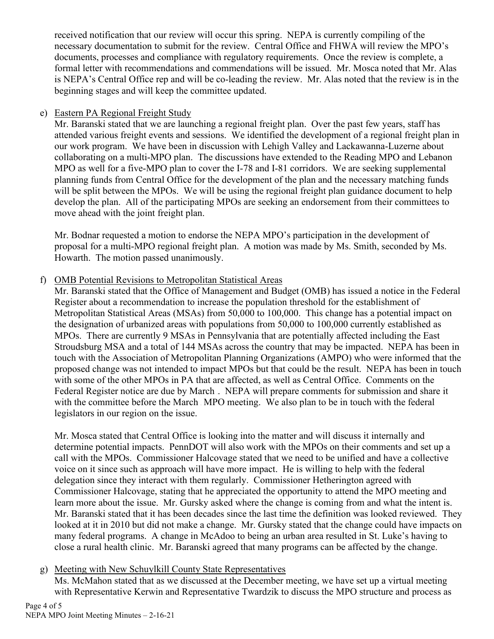received notification that our review will occur this spring. NEPA is currently compiling of the necessary documentation to submit for the review. Central Office and FHWA will review the MPO's documents, processes and compliance with regulatory requirements. Once the review is complete, a formal letter with recommendations and commendations will be issued. Mr. Mosca noted that Mr. Alas is NEPA's Central Office rep and will be co-leading the review. Mr. Alas noted that the review is in the beginning stages and will keep the committee updated.

### e) Eastern PA Regional Freight Study

Mr. Baranski stated that we are launching a regional freight plan. Over the past few years, staff has attended various freight events and sessions. We identified the development of a regional freight plan in our work program. We have been in discussion with Lehigh Valley and Lackawanna-Luzerne about collaborating on a multi-MPO plan. The discussions have extended to the Reading MPO and Lebanon MPO as well for a five-MPO plan to cover the I-78 and I-81 corridors. We are seeking supplemental planning funds from Central Office for the development of the plan and the necessary matching funds will be split between the MPOs. We will be using the regional freight plan guidance document to help develop the plan. All of the participating MPOs are seeking an endorsement from their committees to move ahead with the joint freight plan.

Mr. Bodnar requested a motion to endorse the NEPA MPO's participation in the development of proposal for a multi-MPO regional freight plan. A motion was made by Ms. Smith, seconded by Ms. Howarth. The motion passed unanimously.

### f) OMB Potential Revisions to Metropolitan Statistical Areas

Mr. Baranski stated that the Office of Management and Budget (OMB) has issued a notice in the Federal Register about a recommendation to increase the population threshold for the establishment of Metropolitan Statistical Areas (MSAs) from 50,000 to 100,000. This change has a potential impact on the designation of urbanized areas with populations from 50,000 to 100,000 currently established as MPOs. There are currently 9 MSAs in Pennsylvania that are potentially affected including the East Stroudsburg MSA and a total of 144 MSAs across the country that may be impacted. NEPA has been in touch with the Association of Metropolitan Planning Organizations (AMPO) who were informed that the proposed change was not intended to impact MPOs but that could be the result. NEPA has been in touch with some of the other MPOs in PA that are affected, as well as Central Office. Comments on the Federal Register notice are due by March. NEPA will prepare comments for submission and share it with the committee before the March MPO meeting. We also plan to be in touch with the federal legislators in our region on the issue.

Mr. Mosca stated that Central Office is looking into the matter and will discuss it internally and determine potential impacts. PennDOT will also work with the MPOs on their comments and set up a call with the MPOs. Commissioner Halcovage stated that we need to be unified and have a collective voice on it since such as approach will have more impact. He is willing to help with the federal delegation since they interact with them regularly. Commissioner Hetherington agreed with Commissioner Halcovage, stating that he appreciated the opportunity to attend the MPO meeting and learn more about the issue. Mr. Gursky asked where the change is coming from and what the intent is. Mr. Baranski stated that it has been decades since the last time the definition was looked reviewed. They looked at it in 2010 but did not make a change. Mr. Gursky stated that the change could have impacts on many federal programs. A change in McAdoo to being an urban area resulted in St. Luke's having to close a rural health clinic. Mr. Baranski agreed that many programs can be affected by the change.

### g) Meeting with New Schuylkill County State Representatives

Ms. McMahon stated that as we discussed at the December meeting, we have set up a virtual meeting with Representative Kerwin and Representative Twardzik to discuss the MPO structure and process as